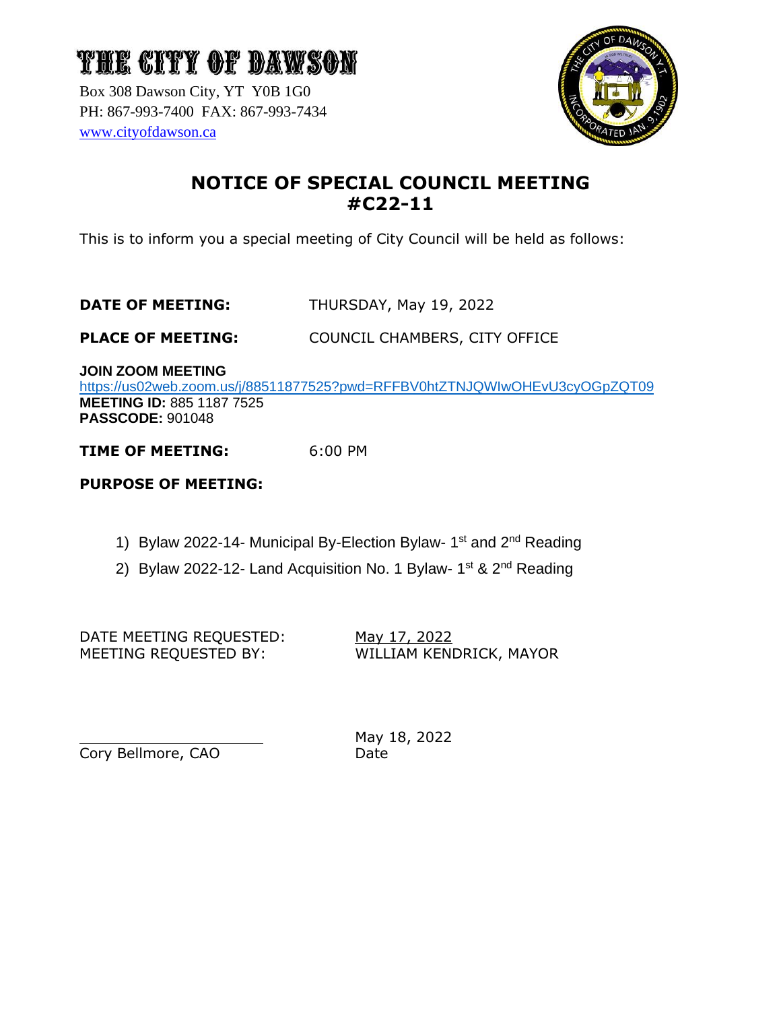Box 308 Dawson City, YT Y0B 1G0 PH: 867-993-7400 FAX: 867-993-7434 [www.cityofdawson.ca](http://www.cityofdawson.ca/)



### **NOTICE OF SPECIAL COUNCIL MEETING #C22-11**

This is to inform you a special meeting of City Council will be held as follows:

#### **DATE OF MEETING:** THURSDAY, May 19, 2022

**PLACE OF MEETING:** COUNCIL CHAMBERS, CITY OFFICE

**JOIN ZOOM MEETING**

<https://us02web.zoom.us/j/88511877525?pwd=RFFBV0htZTNJQWIwOHEvU3cyOGpZQT09> **MEETING ID:** 885 1187 7525 **PASSCODE:** 901048

**TIME OF MEETING:** 6:00 PM

#### **PURPOSE OF MEETING:**

- 1) Bylaw 2022-14- Municipal By-Election Bylaw- 1<sup>st</sup> and 2<sup>nd</sup> Reading
- 2) Bylaw 2022-12- Land Acquisition No. 1 Bylaw- 1<sup>st</sup> & 2<sup>nd</sup> Reading

DATE MEETING REQUESTED: May 17, 2022 MEETING REQUESTED BY: WILLIAM KENDRICK, MAYOR

Cory Bellmore, CAO Date

May 18, 2022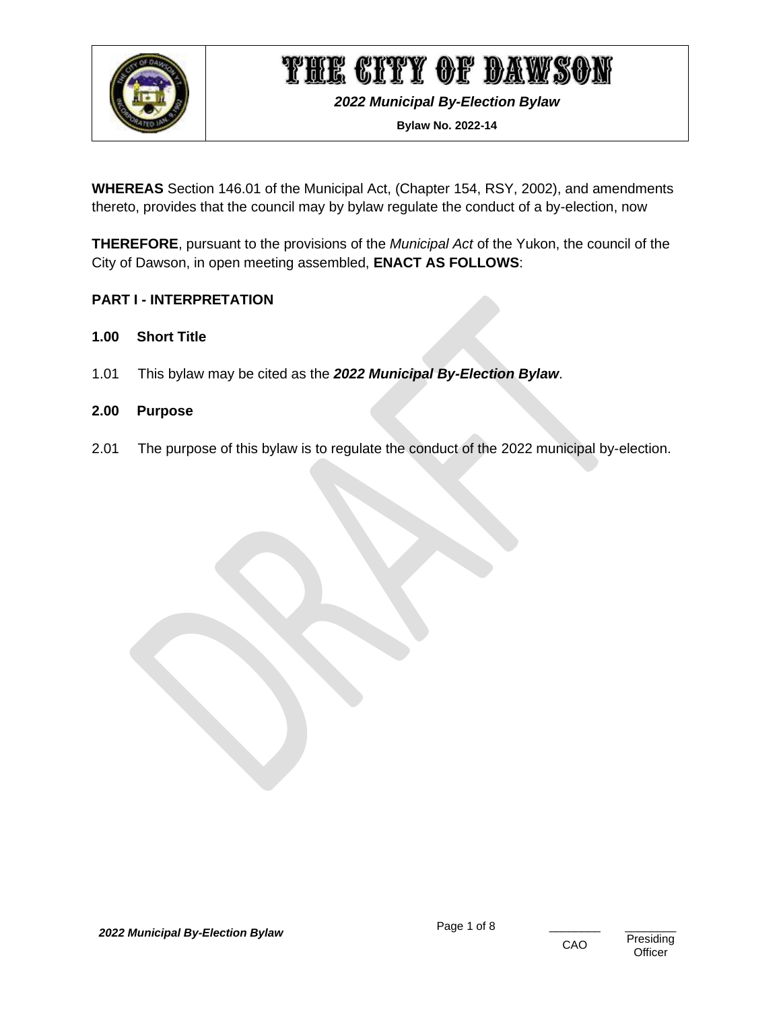

*2022 Municipal By-Election Bylaw*

**Bylaw No. 2022-14**

**WHEREAS** Section 146.01 of the Municipal Act, (Chapter 154, RSY, 2002), and amendments thereto, provides that the council may by bylaw regulate the conduct of a by-election, now

**THEREFORE**, pursuant to the provisions of the *Municipal Act* of the Yukon, the council of the City of Dawson, in open meeting assembled, **ENACT AS FOLLOWS**:

#### <span id="page-1-0"></span>**PART I - INTERPRETATION**

- <span id="page-1-1"></span>**1.00 Short Title**
- 1.01 This bylaw may be cited as the *2022 Municipal By-Election Bylaw*.

#### <span id="page-1-2"></span>**2.00 Purpose**

2.01 The purpose of this bylaw is to regulate the conduct of the 2022 municipal by-election.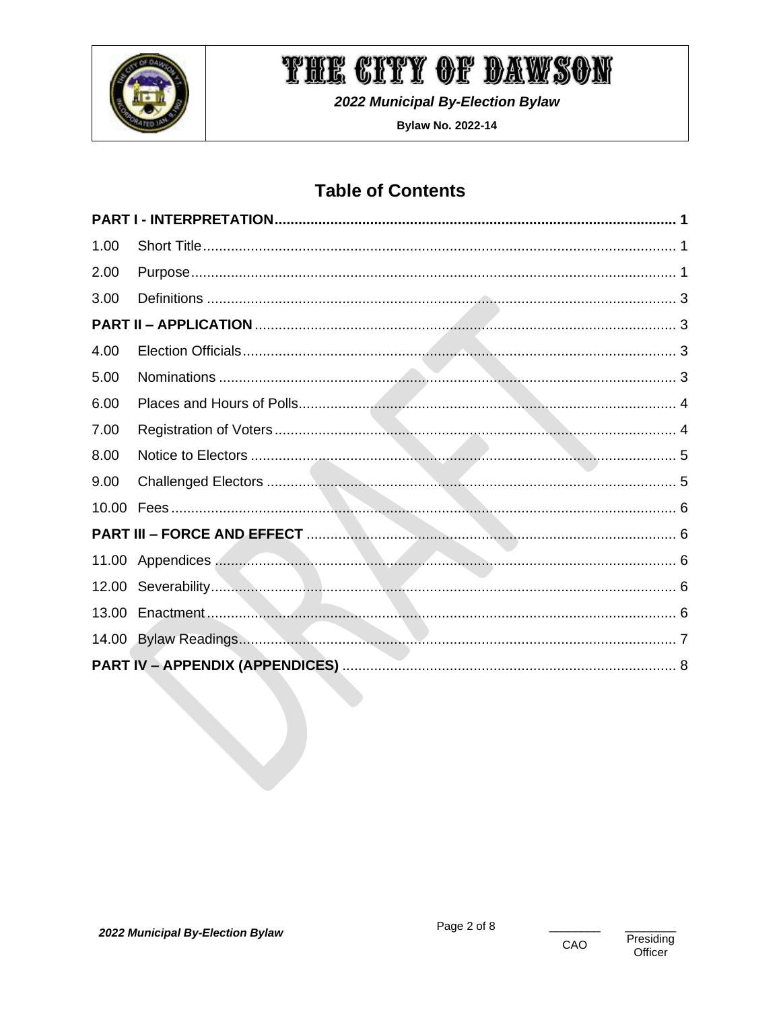

2022 Municipal By-Election Bylaw

**Bylaw No. 2022-14** 

### **Table of Contents**

| 1.00  |  |
|-------|--|
| 2.00  |  |
| 3.00  |  |
|       |  |
| 4.00  |  |
| 5.00  |  |
| 6.00  |  |
| 7.00  |  |
| 8.00  |  |
| 9.00  |  |
| 10.00 |  |
|       |  |
|       |  |
|       |  |
| 13.00 |  |
|       |  |
|       |  |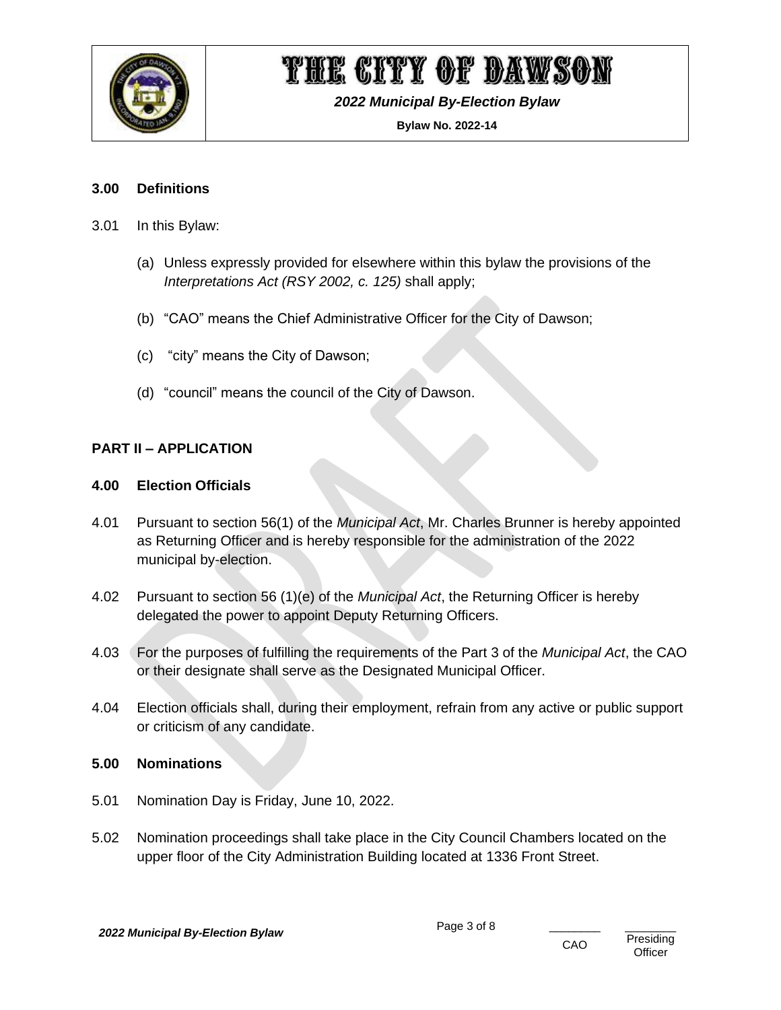

*2022 Municipal By-Election Bylaw*

**Bylaw No. 2022-14**

#### <span id="page-3-0"></span>**3.00 Definitions**

- 3.01 In this Bylaw:
	- (a) Unless expressly provided for elsewhere within this bylaw the provisions of the *Interpretations Act (RSY 2002, c. 125)* shall apply;
	- (b) "CAO" means the Chief Administrative Officer for the City of Dawson;
	- (c) "city" means the City of Dawson;
	- (d) "council" means the council of the City of Dawson.

#### <span id="page-3-1"></span>**PART II – APPLICATION**

#### <span id="page-3-2"></span>**4.00 Election Officials**

- 4.01 Pursuant to section 56(1) of the *Municipal Act*, Mr. Charles Brunner is hereby appointed as Returning Officer and is hereby responsible for the administration of the 2022 municipal by-election.
- 4.02 Pursuant to section 56 (1)(e) of the *Municipal Act*, the Returning Officer is hereby delegated the power to appoint Deputy Returning Officers.
- 4.03 For the purposes of fulfilling the requirements of the Part 3 of the *Municipal Act*, the CAO or their designate shall serve as the Designated Municipal Officer.
- 4.04 Election officials shall, during their employment, refrain from any active or public support or criticism of any candidate.

#### <span id="page-3-3"></span>**5.00 Nominations**

- 5.01 Nomination Day is Friday, June 10, 2022.
- 5.02 Nomination proceedings shall take place in the City Council Chambers located on the upper floor of the City Administration Building located at 1336 Front Street.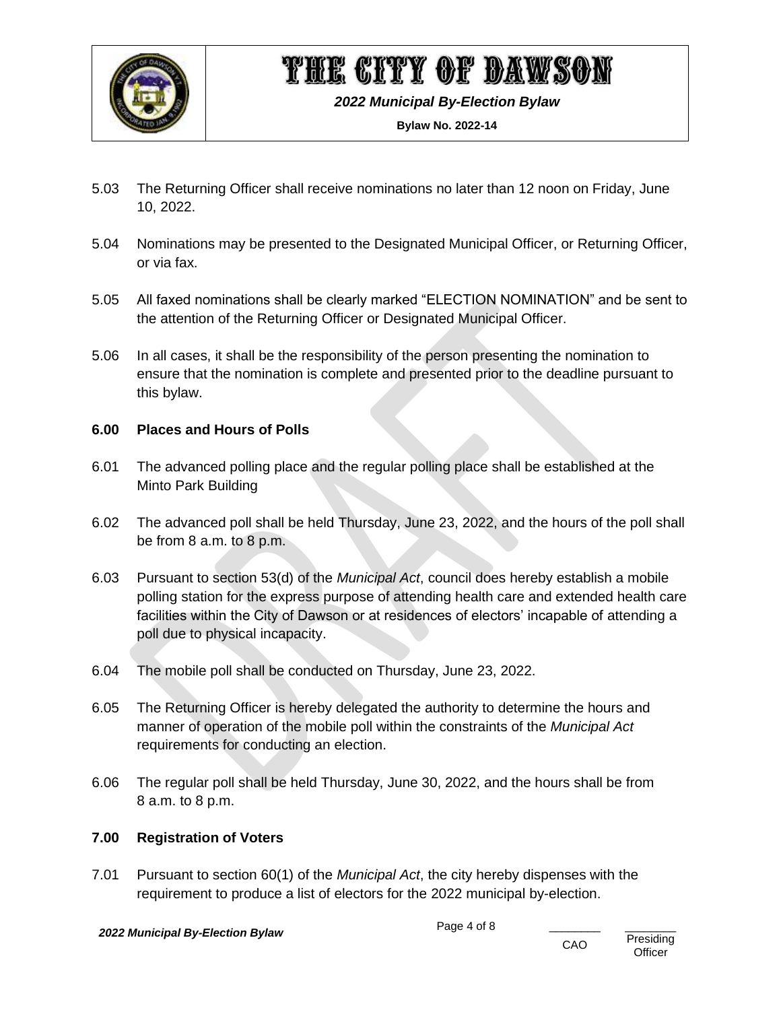

*2022 Municipal By-Election Bylaw*

**Bylaw No. 2022-14**

- 5.03 The Returning Officer shall receive nominations no later than 12 noon on Friday, June 10, 2022.
- 5.04 Nominations may be presented to the Designated Municipal Officer, or Returning Officer, or via fax.
- 5.05 All faxed nominations shall be clearly marked "ELECTION NOMINATION" and be sent to the attention of the Returning Officer or Designated Municipal Officer.
- 5.06 In all cases, it shall be the responsibility of the person presenting the nomination to ensure that the nomination is complete and presented prior to the deadline pursuant to this bylaw.

#### <span id="page-4-0"></span>**6.00 Places and Hours of Polls**

- 6.01 The advanced polling place and the regular polling place shall be established at the Minto Park Building
- 6.02 The advanced poll shall be held Thursday, June 23, 2022, and the hours of the poll shall be from 8 a.m. to 8 p.m.
- 6.03 Pursuant to section 53(d) of the *Municipal Act*, council does hereby establish a mobile polling station for the express purpose of attending health care and extended health care facilities within the City of Dawson or at residences of electors' incapable of attending a poll due to physical incapacity.
- 6.04 The mobile poll shall be conducted on Thursday, June 23, 2022.
- 6.05 The Returning Officer is hereby delegated the authority to determine the hours and manner of operation of the mobile poll within the constraints of the *Municipal Act* requirements for conducting an election.
- 6.06 The regular poll shall be held Thursday, June 30, 2022, and the hours shall be from 8 a.m. to 8 p.m.

#### <span id="page-4-1"></span>**7.00 Registration of Voters**

7.01 Pursuant to section 60(1) of the *Municipal Act*, the city hereby dispenses with the requirement to produce a list of electors for the 2022 municipal by-election.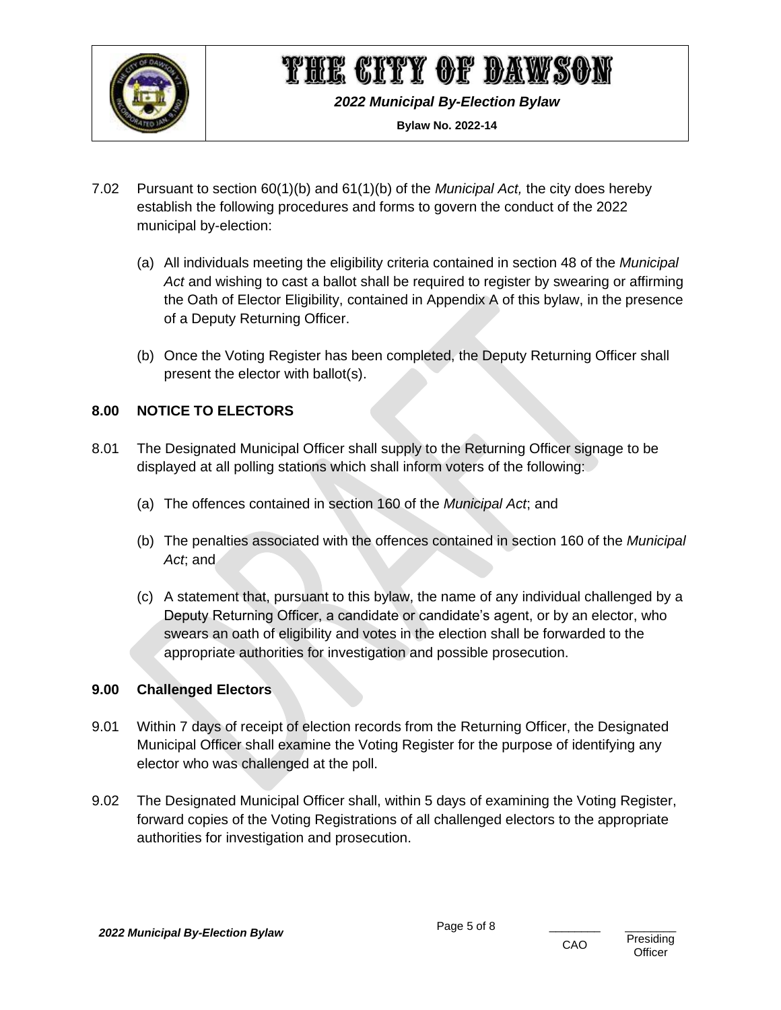

*2022 Municipal By-Election Bylaw*

**Bylaw No. 2022-14**

- 7.02 Pursuant to section 60(1)(b) and 61(1)(b) of the *Municipal Act,* the city does hereby establish the following procedures and forms to govern the conduct of the 2022 municipal by-election:
	- (a) All individuals meeting the eligibility criteria contained in section 48 of the *Municipal Act* and wishing to cast a ballot shall be required to register by swearing or affirming the Oath of Elector Eligibility, contained in Appendix A of this bylaw, in the presence of a Deputy Returning Officer.
	- (b) Once the Voting Register has been completed, the Deputy Returning Officer shall present the elector with ballot(s).

#### <span id="page-5-0"></span>**8.00 NOTICE TO ELECTORS**

- 8.01 The Designated Municipal Officer shall supply to the Returning Officer signage to be displayed at all polling stations which shall inform voters of the following:
	- (a) The offences contained in section 160 of the *Municipal Act*; and
	- (b) The penalties associated with the offences contained in section 160 of the *Municipal Act*; and
	- (c) A statement that, pursuant to this bylaw, the name of any individual challenged by a Deputy Returning Officer, a candidate or candidate's agent, or by an elector, who swears an oath of eligibility and votes in the election shall be forwarded to the appropriate authorities for investigation and possible prosecution.

#### <span id="page-5-1"></span>**9.00 Challenged Electors**

- 9.01 Within 7 days of receipt of election records from the Returning Officer, the Designated Municipal Officer shall examine the Voting Register for the purpose of identifying any elector who was challenged at the poll.
- 9.02 The Designated Municipal Officer shall, within 5 days of examining the Voting Register, forward copies of the Voting Registrations of all challenged electors to the appropriate authorities for investigation and prosecution.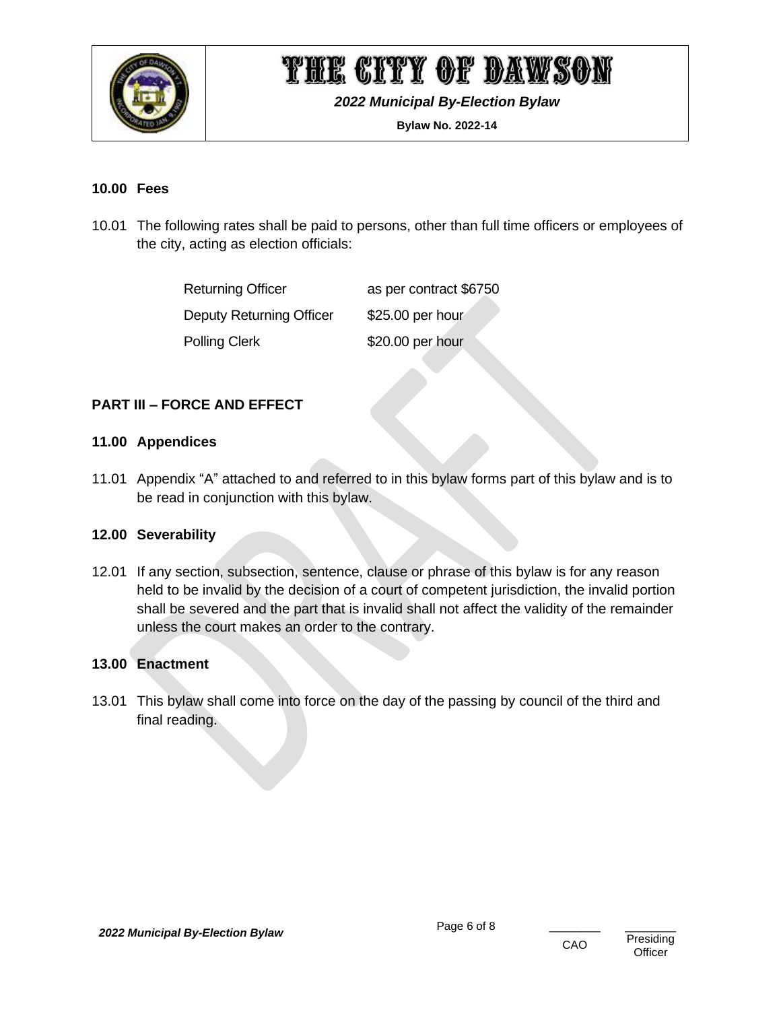

*2022 Municipal By-Election Bylaw*

**Bylaw No. 2022-14**

#### <span id="page-6-0"></span>**10.00 Fees**

10.01 The following rates shall be paid to persons, other than full time officers or employees of the city, acting as election officials:

| <b>Returning Officer</b>        | as per contract \$6750 |
|---------------------------------|------------------------|
| <b>Deputy Returning Officer</b> | \$25.00 per hour       |
| <b>Polling Clerk</b>            | \$20.00 per hour       |

#### <span id="page-6-1"></span>**PART III – FORCE AND EFFECT**

#### <span id="page-6-2"></span>**11.00 Appendices**

11.01 Appendix "A" attached to and referred to in this bylaw forms part of this bylaw and is to be read in conjunction with this bylaw.

#### <span id="page-6-3"></span>**12.00 Severability**

12.01 If any section, subsection, sentence, clause or phrase of this bylaw is for any reason held to be invalid by the decision of a court of competent jurisdiction, the invalid portion shall be severed and the part that is invalid shall not affect the validity of the remainder unless the court makes an order to the contrary.

#### <span id="page-6-4"></span>**13.00 Enactment**

13.01 This bylaw shall come into force on the day of the passing by council of the third and final reading.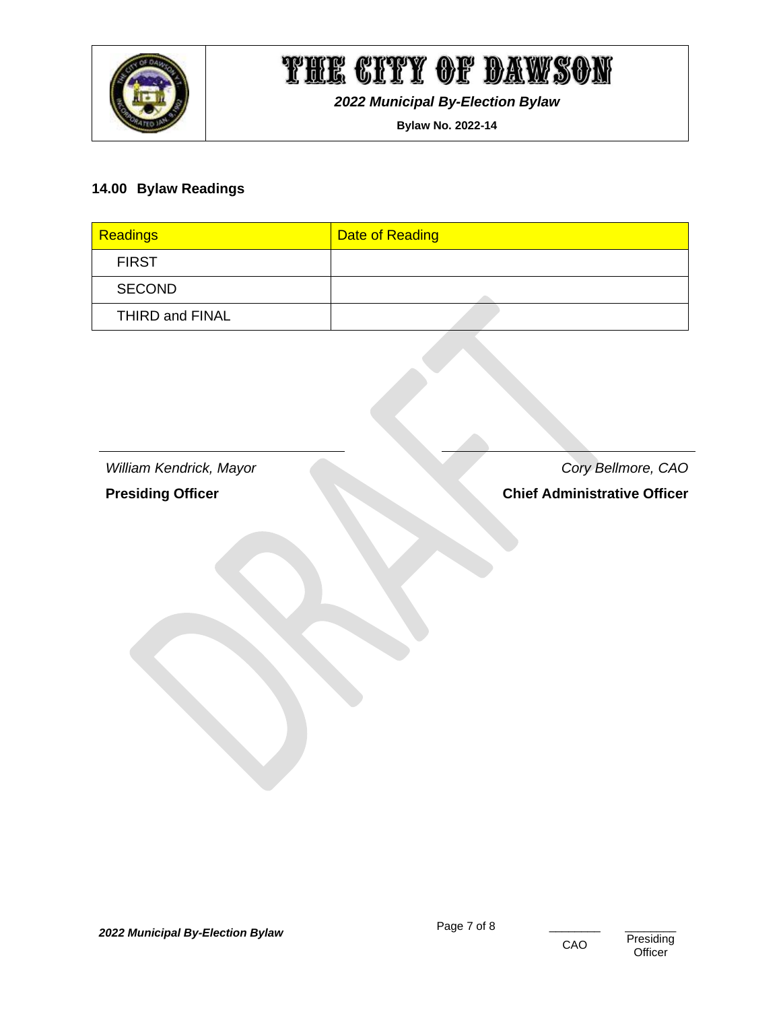

*2022 Municipal By-Election Bylaw*

**Bylaw No. 2022-14**

#### <span id="page-7-0"></span>**14.00 Bylaw Readings**

| Readings        | Date of Reading |
|-----------------|-----------------|
| <b>FIRST</b>    |                 |
| <b>SECOND</b>   |                 |
| THIRD and FINAL |                 |

*William Kendrick, Mayor Cory Bellmore, CAO*

**Presiding Officer Chief Administrative Officer** 

Presiding **Officer**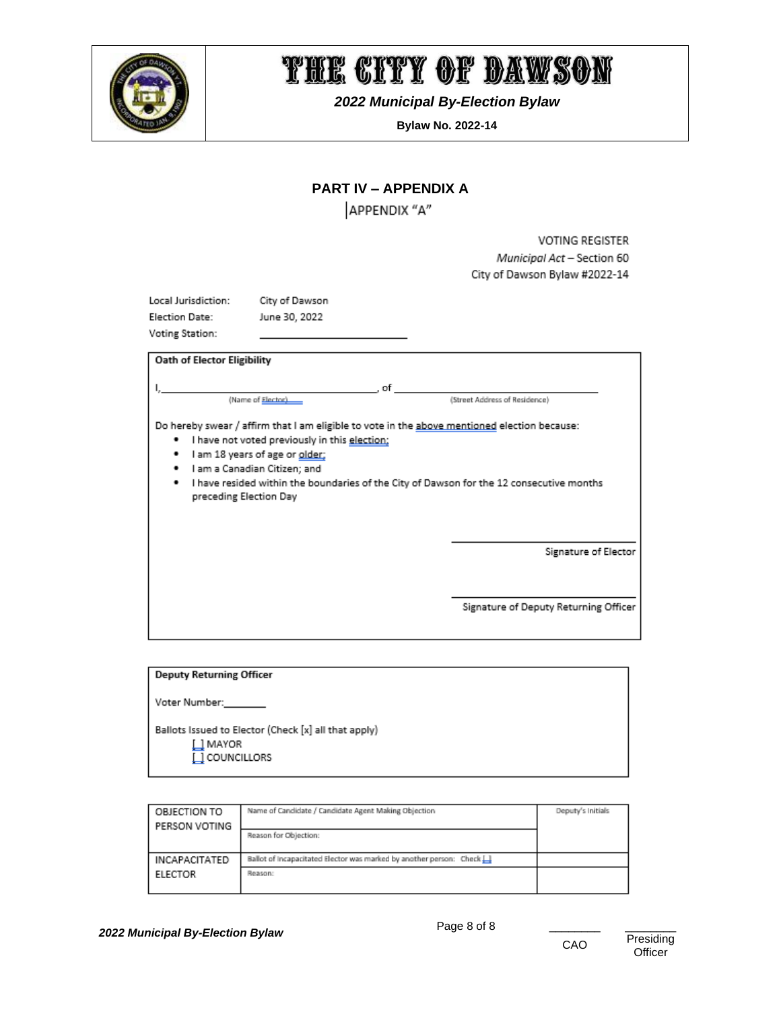

*2022 Municipal By-Election Bylaw*

**Bylaw No. 2022-14**

#### **PART IV – APPENDIX A**

APPENDIX "A"

**VOTING REGISTER** Municipal Act - Section 60 City of Dawson Bylaw #2022-14

<span id="page-8-0"></span>

| Local Jurisdiction: | City of Dawsor |
|---------------------|----------------|
| Election Date:      | June 30, 2022  |
| Voting Station:     |                |

Dawson

| <b>Oath of Elector Eligibility</b>                                                                                                                                                                                                                                                                                                                        |                                                               |
|-----------------------------------------------------------------------------------------------------------------------------------------------------------------------------------------------------------------------------------------------------------------------------------------------------------------------------------------------------------|---------------------------------------------------------------|
| . of<br>(Name of Elector)                                                                                                                                                                                                                                                                                                                                 | (Street Address of Residence)                                 |
| Do hereby swear / affirm that I am eligible to vote in the above mentioned election because:<br>I have not voted previously in this election;<br>٠<br>I am 18 years of age or older;<br>٠<br>I am a Canadian Citizen; and<br>٠<br>I have resided within the boundaries of the City of Dawson for the 12 consecutive months<br>٠<br>preceding Election Day |                                                               |
|                                                                                                                                                                                                                                                                                                                                                           | Signature of Elector<br>Signature of Deputy Returning Officer |
|                                                                                                                                                                                                                                                                                                                                                           |                                                               |

| <b>Deputy Returning Officer</b>                                                   |  |
|-----------------------------------------------------------------------------------|--|
| Voter Number:                                                                     |  |
| Ballots Issued to Elector (Check [x] all that apply)<br>∐ MAYOR<br>L] COUNCILLORS |  |

| OBJECTION TO         | Name of Candidate / Candidate Agent Making Objection                    | Deputy's Initials |
|----------------------|-------------------------------------------------------------------------|-------------------|
| PERSON VOTING        |                                                                         |                   |
|                      | Reason for Objection:                                                   |                   |
|                      |                                                                         |                   |
| <b>INCAPACITATED</b> | Ballot of incapacitated Elector was marked by another person: Check [1] |                   |
| <b>ELECTOR</b>       | Reason:                                                                 |                   |
|                      |                                                                         |                   |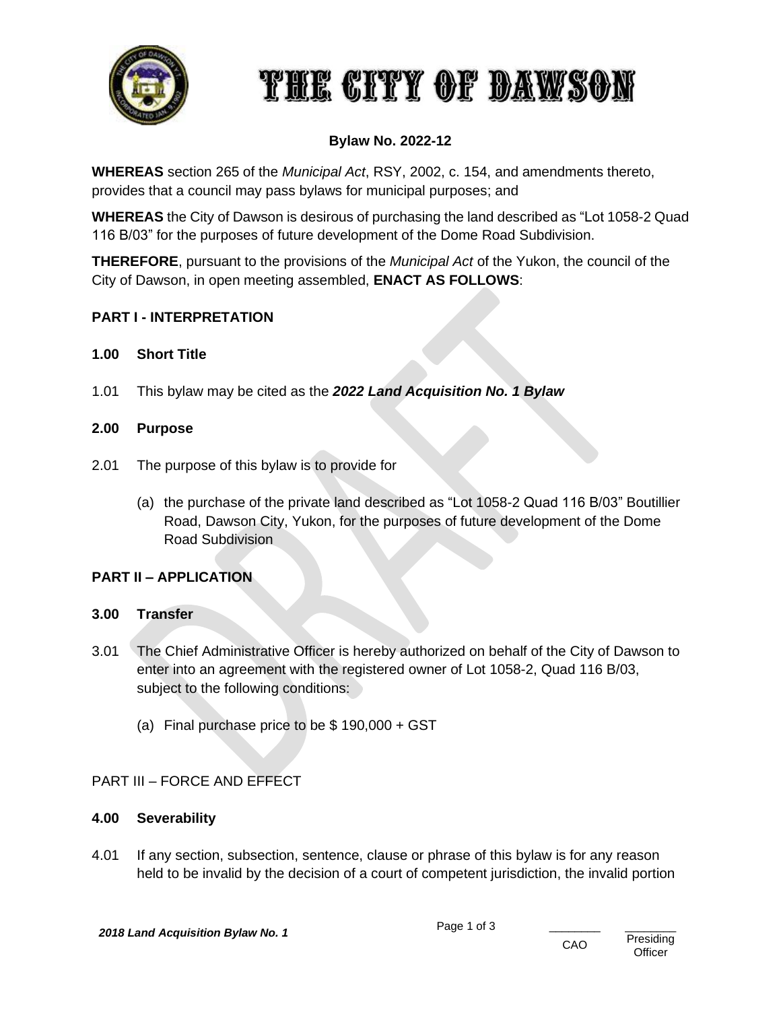

#### **Bylaw No. 2022-12**

**WHEREAS** section 265 of the *Municipal Act*, RSY, 2002, c. 154, and amendments thereto, provides that a council may pass bylaws for municipal purposes; and

**WHEREAS** the City of Dawson is desirous of purchasing the land described as "Lot 1058-2 Quad 116 B/03" for the purposes of future development of the Dome Road Subdivision.

**THEREFORE**, pursuant to the provisions of the *Municipal Act* of the Yukon, the council of the City of Dawson, in open meeting assembled, **ENACT AS FOLLOWS**:

#### **PART I - INTERPRETATION**

#### **1.00 Short Title**

1.01 This bylaw may be cited as the *2022 Land Acquisition No. 1 Bylaw*

#### **2.00 Purpose**

- 2.01 The purpose of this bylaw is to provide for
	- (a) the purchase of the private land described as "Lot 1058-2 Quad 116 B/03" Boutillier Road, Dawson City, Yukon, for the purposes of future development of the Dome Road Subdivision

#### **PART II – APPLICATION**

#### **3.00 Transfer**

- 3.01 The Chief Administrative Officer is hereby authorized on behalf of the City of Dawson to enter into an agreement with the registered owner of Lot 1058-2, Quad 116 B/03, subject to the following conditions:
	- (a) Final purchase price to be \$ 190,000 + GST

#### PART III – FORCE AND EFFECT

#### **4.00 Severability**

4.01 If any section, subsection, sentence, clause or phrase of this bylaw is for any reason held to be invalid by the decision of a court of competent jurisdiction, the invalid portion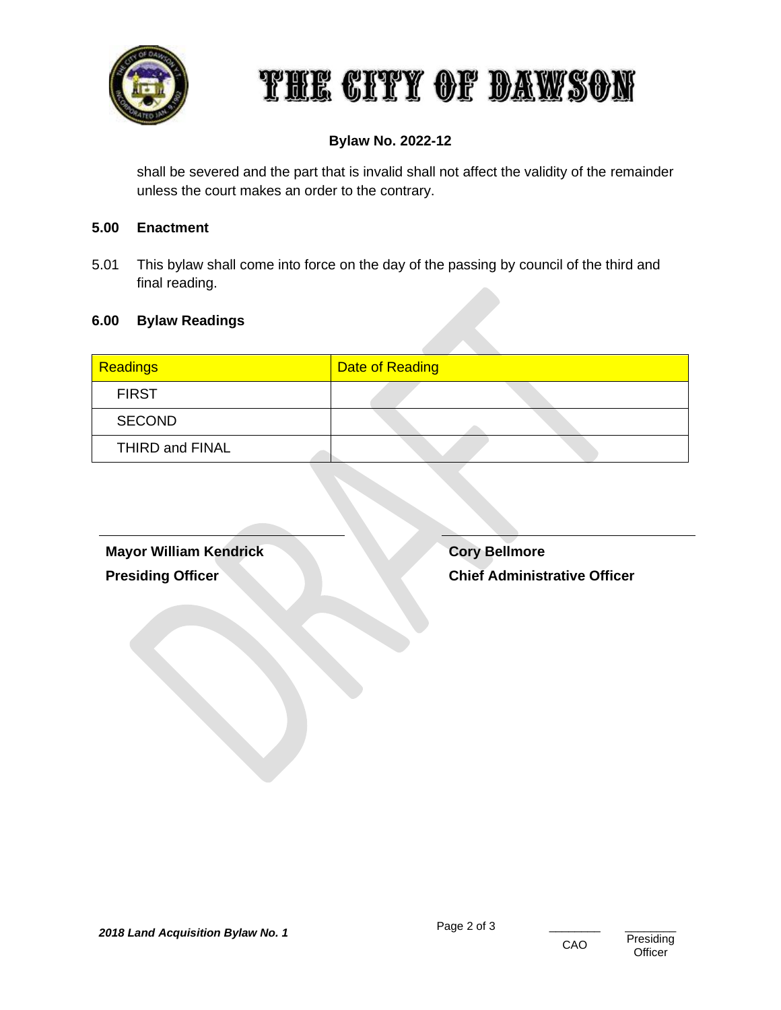

#### **Bylaw No. 2022-12**

shall be severed and the part that is invalid shall not affect the validity of the remainder unless the court makes an order to the contrary.

#### **5.00 Enactment**

5.01 This bylaw shall come into force on the day of the passing by council of the third and final reading.

#### **6.00 Bylaw Readings**

| Readings        | Date of Reading |
|-----------------|-----------------|
| <b>FIRST</b>    |                 |
| <b>SECOND</b>   |                 |
| THIRD and FINAL |                 |

**Mayor William Kendrick Presiding Officer**

**Cory Bellmore Chief Administrative Officer**